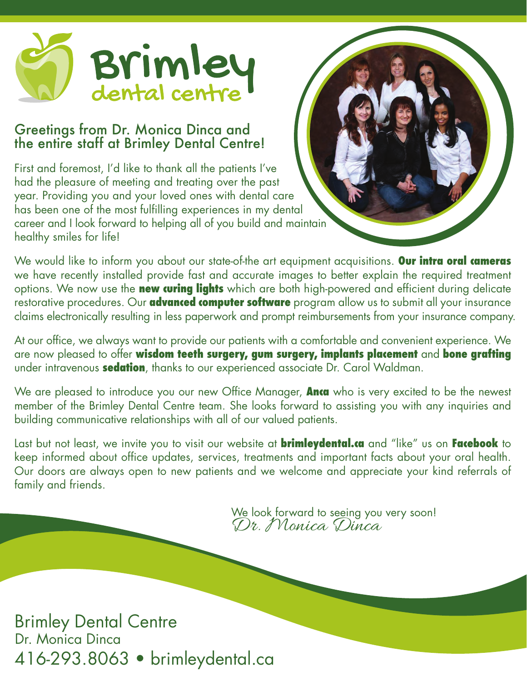

### Greetings from Dr. Monica Dinca and the entire staff at Brimley Dental Centre!

First and foremost, I'd like to thank all the patients I've had the pleasure of meeting and treating over the past year. Providing you and your loved ones with dental care has been one of the most fulfilling experiences in my dental career and I look forward to helping all of you build and maintain healthy smiles for life!

We would like to inform you about our state-of-the art equipment acquisitions. **Our intra oral cameras** we have recently installed provide fast and accurate images to better explain the required treatment options. We now use the **new curing lights** which are both high-powered and efficient during delicate restorative procedures. Our **advanced computer software** program allow us to submit all your insurance claims electronically resulting in less paperwork and prompt reimbursements from your insurance company.

At our office, we always want to provide our patients with a comfortable and convenient experience. We are now pleased to offer **wisdom teeth surgery, gum surgery, implants placement** and **bone grafting**  under intravenous **sedation**, thanks to our experienced associate Dr. Carol Waldman.

We are pleased to introduce you our new Office Manager, **Anca** who is very excited to be the newest member of the Brimley Dental Centre team. She looks forward to assisting you with any inquiries and building communicative relationships with all of our valued patients.

Last but not least, we invite you to visit our website at **brimleydental.ca** and "like" us on **Facebook** to keep informed about office updates, services, treatments and important facts about your oral health. Our doors are always open to new patients and we welcome and appreciate your kind referrals of family and friends.

> We look forward to seeing you very soon! Dr. Monica Dinca

Brimley Dental Centre Dr. Monica Dinca 416-293.8063 • brimleydental.ca